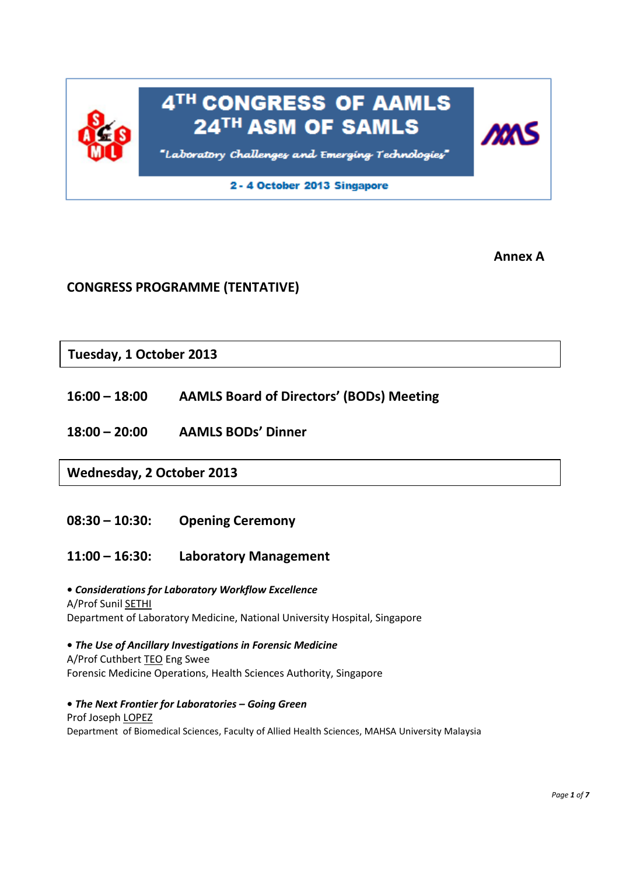

**Annex A**

# **CONGRESS PROGRAMME (TENTATIVE)**

**Tuesday, 1 October 2013**

- **16:00 – 18:00 AAMLS Board of Directors' (BODs) Meeting**
- **18:00 – 20:00 AAMLS BODs' Dinner**

**Wednesday, 2 October 2013**

- **08:30 – 10:30: Opening Ceremony**
- **11:00 – 16:30: Laboratory Management**

**•** *Considerations for Laboratory Workflow Excellence* A/Prof Sunil SETHI Department of Laboratory Medicine, National University Hospital, Singapore

 **•** *The Use of Ancillary Investigations in Forensic Medicine* A/Prof Cuthbert TEO Eng Swee Forensic Medicine Operations, Health Sciences Authority, Singapore

**•** *The Next Frontier for Laboratories – Going Green* Prof Joseph LOPEZ Department of Biomedical Sciences, Faculty of Allied Health Sciences, MAHSA University Malaysia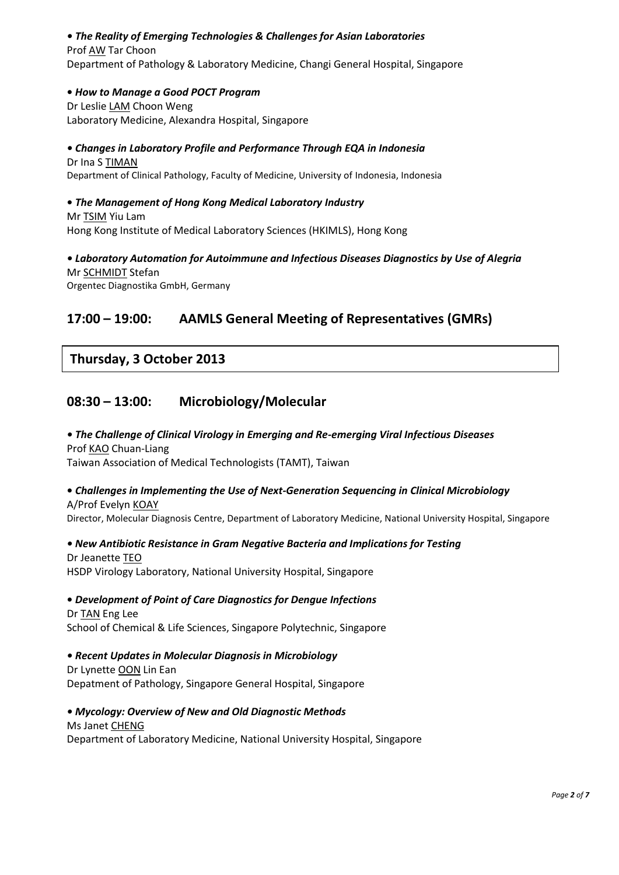## *• The Reality of Emerging Technologies & Challenges for Asian Laboratories*

## Prof AW Tar Choon

Department of Pathology & Laboratory Medicine, Changi General Hospital, Singapore

#### **•** *How to Manage a Good POCT Program*

**Dr Leslie LAM Choon Weng** Laboratory Medicine, Alexandra Hospital, Singapore

# *• Changes in Laboratory Profile and Performance Through EQA in Indonesia* Dr Ina S TIMAN

Department of Clinical Pathology, Faculty of Medicine, University of Indonesia, Indonesia

#### **•** *The Management of Hong Kong Medical Laboratory Industry* **Mr TSIM Yiu Lam**

Hong Kong Institute of Medical Laboratory Sciences (HKIMLS), Hong Kong

# *• Laboratory Automation for Autoimmune and Infectious Diseases Diagnostics by Use of Alegria* Mr SCHMIDT Stefan

Orgentec Diagnostika GmbH, Germany

## **17:00 – 19:00: AAMLS General Meeting of Representatives (GMRs)**

## **Thursday, 3 October 2013**

## **08:30 – 13:00: Microbiology/Molecular**

### *• The Challenge of Clinical Virology in Emerging and Re-emerging Viral Infectious Diseases* Prof KAO Chuan-Liang

Taiwan Association of Medical Technologists (TAMT), Taiwan

# **•** *Challenges in Implementing the Use of Next-Generation Sequencing in Clinical Microbiology*

A/Prof Evelyn KOAY Director, Molecular Diagnosis Centre, Department of Laboratory Medicine, National University Hospital, Singapore

## *• New Antibiotic Resistance in Gram Negative Bacteria and Implications for Testing*

#### Dr Jeanette TEO HSDP Virology Laboratory, National University Hospital, Singapore

 **•** *Development of Point of Care Diagnostics for Dengue Infections*

## Dr TAN Eng Lee School of Chemical & Life Sciences, Singapore Polytechnic, Singapore

## *• Recent Updates in Molecular Diagnosis in Microbiology*

Dr Lynette OON Lin Ean Depatment of Pathology, Singapore General Hospital, Singapore

## *• Mycology: Overview of New and Old Diagnostic Methods*

#### Ms Janet CHENG

Department of Laboratory Medicine, National University Hospital, Singapore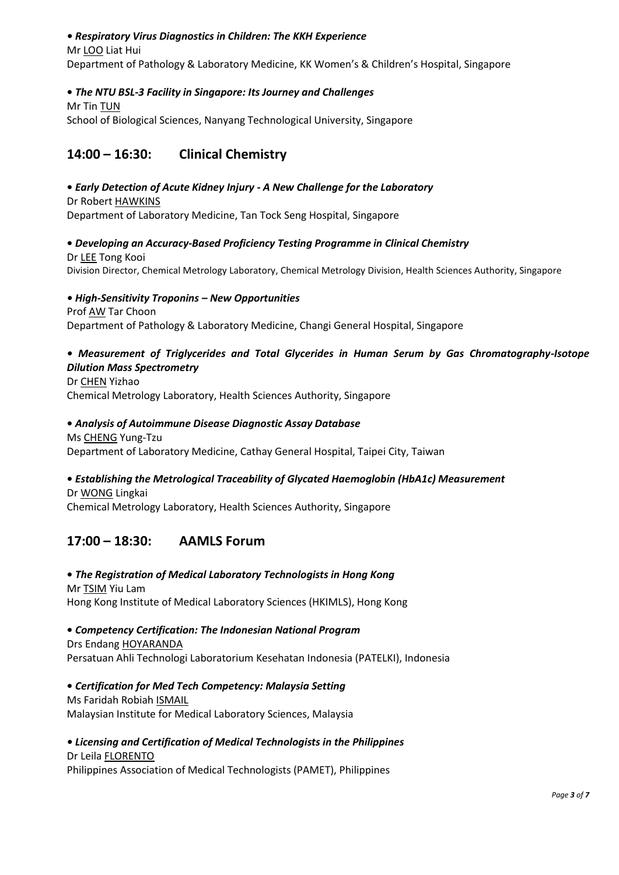### *• Respiratory Virus Diagnostics in Children: The KKH Experience*

## Mr LOO Liat Hui

Department of Pathology & Laboratory Medicine, KK Women's & Children's Hospital, Singapore

### **•** *The NTU BSL-3 Facility in Singapore: Its Journey and Challenges*

Mr Tin TUN School of Biological Sciences, Nanyang Technological University, Singapore

## **14:00 – 16:30: Clinical Chemistry**

#### **•** *Early Detection of Acute Kidney Injury - A New Challenge for the Laboratory* Dr Robert HAWKINS

Department of Laboratory Medicine, Tan Tock Seng Hospital, Singapore

### **•** *Developing an Accuracy-Based Proficiency Testing Programme in Clinical Chemistry* Dr LEE Tong Kooi Division Director, Chemical Metrology Laboratory, Chemical Metrology Division, Health Sciences Authority, Singapore

### *• High-Sensitivity Troponins – New Opportunities* Prof AW Tar Choon Department of Pathology & Laboratory Medicine, Changi General Hospital, Singapore

## *• Measurement of Triglycerides and Total Glycerides in Human Serum by Gas Chromatography-Isotope Dilution Mass Spectrometry*

Dr CHEN Yizhao Chemical Metrology Laboratory, Health Sciences Authority, Singapore

### **•** *Analysis of Autoimmune Disease Diagnostic Assay Database*

Ms CHENG Yung-Tzu Department of Laboratory Medicine, Cathay General Hospital, Taipei City, Taiwan

## **•** *Establishing the Metrological Traceability of Glycated Haemoglobin (HbA1c) Measurement*

Dr WONG Lingkai Chemical Metrology Laboratory, Health Sciences Authority, Singapore

## **17:00 – 18:30: AAMLS Forum**

### **•** *The Registration of Medical Laboratory Technologists in Hong Kong* Mr TSIM Yiu Lam Hong Kong Institute of Medical Laboratory Sciences (HKIMLS), Hong Kong

 **•** *Competency Certification: The Indonesian National Program* Drs Endang HOYARANDA Persatuan Ahli Technologi Laboratorium Kesehatan Indonesia (PATELKI), Indonesia

 **•** *Certification for Med Tech Competency: Malaysia Setting* Ms Faridah Robiah ISMAIL Malaysian Institute for Medical Laboratory Sciences, Malaysia

### *• Licensing and Certification of Medical Technologists in the Philippines* Dr Leila FLORENTO

Philippines Association of Medical Technologists (PAMET), Philippines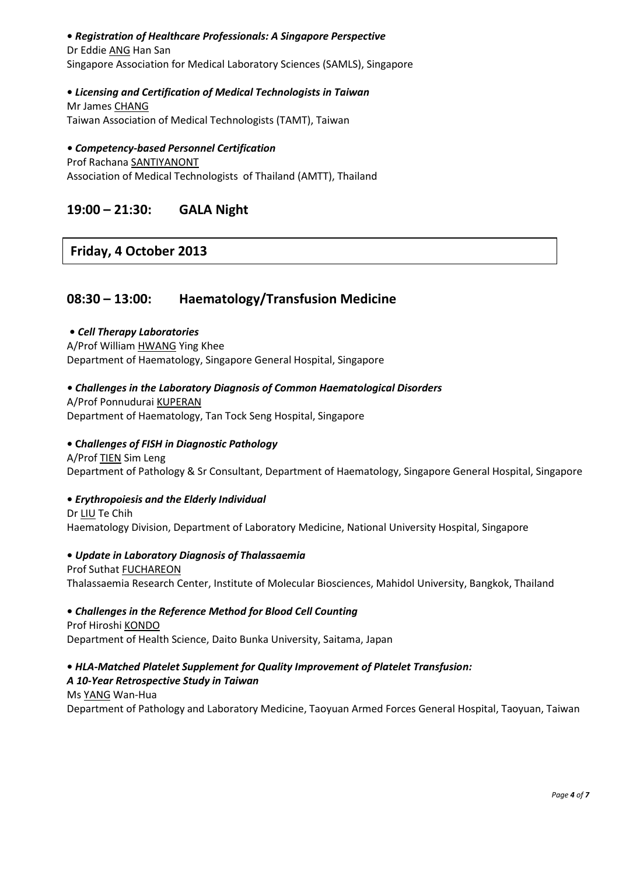#### **•** *Registration of Healthcare Professionals: A Singapore Perspective*

 Dr Eddie ANG Han San Singapore Association for Medical Laboratory Sciences (SAMLS), Singapore

### **•** *Licensing and Certification of Medical Technologists in Taiwan*

 Mr James CHANG Taiwan Association of Medical Technologists (TAMT), Taiwan

### *• Competency-based Personnel Certification*

Prof Rachana SANTIYANONT Association of Medical Technologists of Thailand (AMTT), Thailand

## **19:00 – 21:30: GALA Night**

## **Friday, 4 October 2013**

## **08:30 – 13:00: Haematology/Transfusion Medicine**

### **•** *Cell Therapy Laboratories*

 A/Prof William HWANG Ying Khee Department of Haematology, Singapore General Hospital, Singapore

*• Challenges in the Laboratory Diagnosis of Common Haematological Disorders*

A/Prof Ponnudurai KUPERAN Department of Haematology, Tan Tock Seng Hospital, Singapore

### **• C***hallenges of FISH in Diagnostic Pathology*

 A/Prof TIEN Sim Leng Department of Pathology & Sr Consultant, Department of Haematology, Singapore General Hospital, Singapore

#### **•** *Erythropoiesis and the Elderly Individual*

 Dr LIU Te Chih Haematology Division, Department of Laboratory Medicine, National University Hospital, Singapore

# **•** *Update in Laboratory Diagnosis of Thalassaemia*

**Prof Suthat FUCHAREON** Thalassaemia Research Center, Institute of Molecular Biosciences, Mahidol University, Bangkok, Thailand

 **•** *Challenges in the Reference Method for Blood Cell Counting* Prof Hiroshi KONDO Department of Health Science, Daito Bunka University, Saitama, Japan

### **•** *HLA-Matched Platelet Supplement for Quality Improvement of Platelet Transfusion: A 10-Year Retrospective Study in Taiwan*

Ms YANG Wan-Hua Department of Pathology and Laboratory Medicine, Taoyuan Armed Forces General Hospital, Taoyuan, Taiwan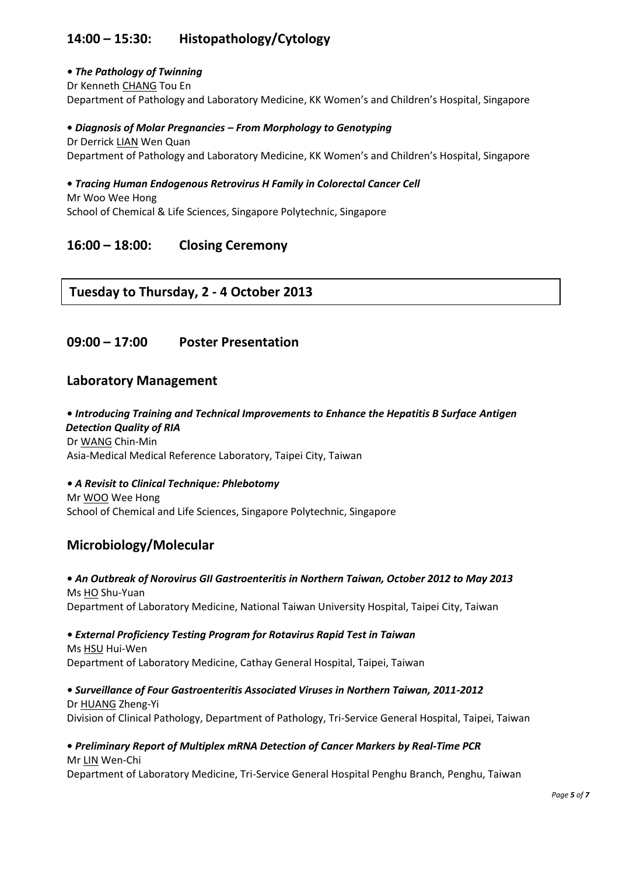## **14:00 – 15:30: Histopathology/Cytology**

## *• The Pathology of Twinning*

Dr Kenneth CHANG Tou En Department of Pathology and Laboratory Medicine, KK Women's and Children's Hospital, Singapore

## **•** *Diagnosis of Molar Pregnancies – From Morphology to Genotyping*

 Dr Derrick LIAN Wen Quan Department of Pathology and Laboratory Medicine, KK Women's and Children's Hospital, Singapore

### **•** *Tracing Human Endogenous Retrovirus H Family in Colorectal Cancer Cell*

 Mr Woo Wee Hong School of Chemical & Life Sciences, Singapore Polytechnic, Singapore

## **16:00 – 18:00: Closing Ceremony**

## **Tuesday to Thursday, 2 - 4 October 2013**

## **09:00 – 17:00 Poster Presentation**

## **Laboratory Management**

 **•** *Introducing Training and Technical Improvements to Enhance the Hepatitis B Surface Antigen Detection Quality of RIA* Dr WANG Chin-Min Asia-Medical Medical Reference Laboratory, Taipei City, Taiwan

*• A Revisit to Clinical Technique: Phlebotomy* Mr WOO Wee Hong School of Chemical and Life Sciences, Singapore Polytechnic, Singapore

## **Microbiology/Molecular**

#### **•** *An Outbreak of Norovirus GII Gastroenteritis in Northern Taiwan, October 2012 to May 2013* Ms HO Shu-Yuan Department of Laboratory Medicine, National Taiwan University Hospital, Taipei City, Taiwan

*• External Proficiency Testing Program for Rotavirus Rapid Test in Taiwan* Ms HSU Hui-Wen

Department of Laboratory Medicine, Cathay General Hospital, Taipei, Taiwan

### *• Surveillance of Four Gastroenteritis Associated Viruses in Northern Taiwan, 2011-2012* Dr HUANG Zheng-Yi

Division of Clinical Pathology, Department of Pathology, Tri-Service General Hospital, Taipei, Taiwan

#### **•** *Preliminary Report of Multiplex mRNA Detection of Cancer Markers by Real-Time PCR* Mr LIN Wen-Chi

Department of Laboratory Medicine, Tri-Service General Hospital Penghu Branch, Penghu, Taiwan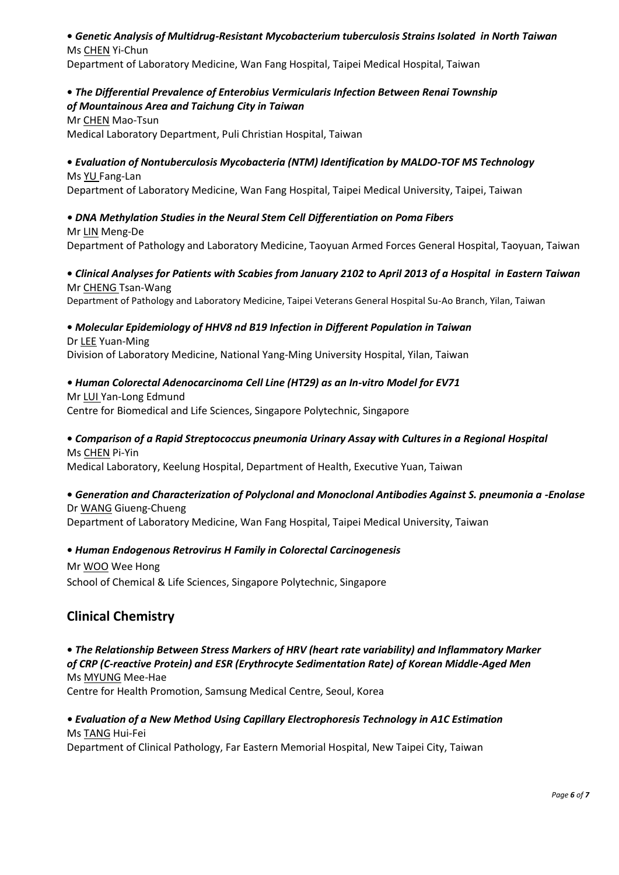#### **•** *Genetic Analysis of Multidrug-Resistant Mycobacterium tuberculosis Strains Isolated in North Taiwan* Ms CHEN Yi-Chun

Department of Laboratory Medicine, Wan Fang Hospital, Taipei Medical Hospital, Taiwan

# **•** *The Differential Prevalence of Enterobius Vermicularis Infection Between Renai Township*

## *of Mountainous Area and Taichung City in Taiwan*

Mr CHEN Mao-Tsun

Medical Laboratory Department, Puli Christian Hospital, Taiwan

#### **•** *Evaluation of Nontuberculosis Mycobacteria (NTM) Identification by MALDO-TOF MS Technology* Ms YU Fang-Lan

Department of Laboratory Medicine, Wan Fang Hospital, Taipei Medical University, Taipei, Taiwan

### *• DNA Methylation Studies in the Neural Stem Cell Differentiation on Poma Fibers*

Mr LIN Meng-De Department of Pathology and Laboratory Medicine, Taoyuan Armed Forces General Hospital, Taoyuan, Taiwan

### **•** *Clinical Analyses for Patients with Scabies from January 2102 to April 2013 of a Hospital in Eastern Taiwan* Mr CHENG Tsan-Wang

Department of Pathology and Laboratory Medicine, Taipei Veterans General Hospital Su-Ao Branch, Yilan, Taiwan

## **•** *Molecular Epidemiology of HHV8 nd B19 Infection in Different Population in Taiwan*

#### Dr LEE Yuan-Ming

Division of Laboratory Medicine, National Yang-Ming University Hospital, Yilan, Taiwan

### *• Human Colorectal Adenocarcinoma Cell Line (HT29) as an In-vitro Model for EV71*

Mr LUI Yan-Long Edmund Centre for Biomedical and Life Sciences, Singapore Polytechnic, Singapore

### **•** *Comparison of a Rapid Streptococcus pneumonia Urinary Assay with Cultures in a Regional Hospital* Ms CHEN Pi-Yin

Medical Laboratory, Keelung Hospital, Department of Health, Executive Yuan, Taiwan

# **•** *Generation and Characterization of Polyclonal and Monoclonal Antibodies Against S. pneumonia a -Enolase*

Dr WANG Giueng-Chueng Department of Laboratory Medicine, Wan Fang Hospital, Taipei Medical University, Taiwan

## **•** *Human Endogenous Retrovirus H Family in Colorectal Carcinogenesis*

Mr WOO Wee Hong School of Chemical & Life Sciences, Singapore Polytechnic, Singapore

## **Clinical Chemistry**

**•** *The Relationship Between Stress Markers of HRV (heart rate variability) and Inflammatory Marker of CRP (C-reactive Protein) and ESR (Erythrocyte Sedimentation Rate) of Korean Middle-Aged Men* Ms MYUNG Mee-Hae

Centre for Health Promotion, Samsung Medical Centre, Seoul, Korea

#### *• Evaluation of a New Method Using Capillary Electrophoresis Technology in A1C Estimation*  Ms TANG Hui-Fei

Department of Clinical Pathology, Far Eastern Memorial Hospital, New Taipei City, Taiwan